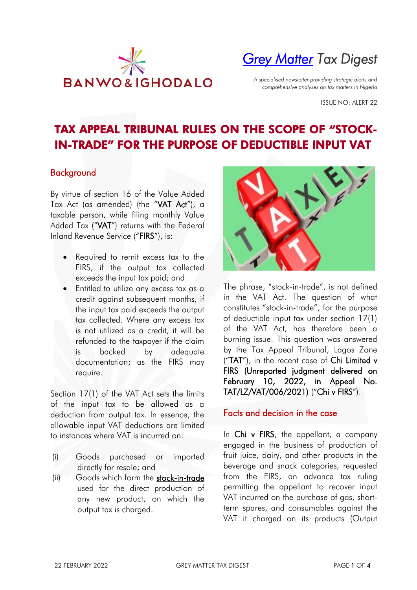

# *[Grey Matter](https://www.banwo-ighodalo.com/grey-matter) Tax Digest*

*A specialised newsletter providing strategic alerts and comprehensive analyses on tax matters in Nigeria*

ISSUE NO: ALERT 22

# TAX APPEAL TRIBUNAL RULES ON THE SCOPE OF "STOCK-IN-TRADE" FOR THE PURPOSE OF DEDUCTIBLE INPUT VAT

### Background

By virtue of section 16 of the Value Added Tax Act (as amended) (the "VAT Act"), a taxable person, while filing monthly Value Added Tax ("VAT") returns with the Federal Inland Revenue Service ("FIRS"), is:

- Required to remit excess tax to the FIRS, if the output tax collected exceeds the input tax paid; and
- Entitled to utilize any excess tax as a credit against subsequent months, if the input tax paid exceeds the output tax collected. Where any excess tax is not utilized as a credit, it will be refunded to the taxpayer if the claim is backed by adequate documentation; as the FIRS may require.

Section 17(1) of the VAT Act sets the limits of the input tax to be allowed as a deduction from output tax. In essence, the allowable input VAT deductions are limited to instances where VAT is incurred on:

- (i) Goods purchased or imported directly for resale; and
- (ii) Goods which form the stock-in-trade used for the direct production of any new product, on which the output tax is charged.



The phrase, "stock-in-trade", is not defined in the VAT Act. The question of what constitutes "stock-in-trade", for the purpose of deductible input tax under section 17(1) of the VAT Act, has therefore been a burning issue. This question was answered by the Tax Appeal Tribunal, Lagos Zone ("TAT"), in the recent case of Chi Limited v FIRS (Unreported judgment delivered on February 10, 2022, in Appeal No. TAT/LZ/VAT/006/2021) ("Chi v FIRS").

#### Facts and decision in the case

In Chi v FIRS, the appellant, a company engaged in the business of production of fruit juice, dairy, and other products in the beverage and snack categories, requested from the FIRS, an advance tax ruling permitting the appellant to recover input VAT incurred on the purchase of gas, shortterm spares, and consumables against the VAT it charged on its products (Output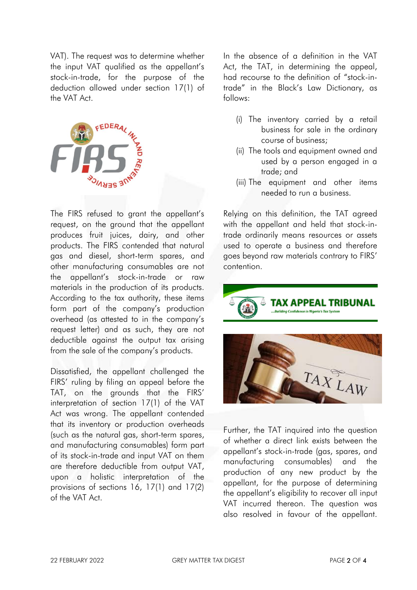VAT). The request was to determine whether the input VAT qualified as the appellant's stock-in-trade, for the purpose of the deduction allowed under section 17(1) of the VAT Act.



The FIRS refused to grant the appellant's request, on the ground that the appellant produces fruit juices, dairy, and other products. The FIRS contended that natural gas and diesel, short-term spares, and other manufacturing consumables are not the appellant's stock-in-trade or raw materials in the production of its products. According to the tax authority, these items form part of the company's production overhead (as attested to in the company's request letter) and as such, they are not deductible against the output tax arising from the sale of the company's products.

Dissatisfied, the appellant challenged the FIRS' ruling by filing an appeal before the TAT, on the grounds that the FIRS' interpretation of section 17(1) of the VAT Act was wrong. The appellant contended that its inventory or production overheads (such as the natural gas, short-term spares, and manufacturing consumables) form part of its stock-in-trade and input VAT on them are therefore deductible from output VAT, upon a holistic interpretation of the provisions of sections 16, 17(1) and 17(2) of the VAT Act.

In the absence of a definition in the VAT Act, the TAT, in determining the appeal, had recourse to the definition of "stock-intrade" in the Black's Law Dictionary, as follows:

- (i) The inventory carried by a retail business for sale in the ordinary course of business;
- (ii) The tools and equipment owned and used by a person engaged in a trade; and
- (iii) The equipment and other items needed to run a business.

Relying on this definition, the TAT agreed with the appellant and held that stock-intrade ordinarily means resources or assets used to operate a business and therefore goes beyond raw materials contrary to FIRS' contention.





Further, the TAT inquired into the question of whether a direct link exists between the appellant's stock-in-trade (gas, spares, and manufacturing consumables) and the production of any new product by the appellant, for the purpose of determining the appellant's eligibility to recover all input VAT incurred thereon. The question was also resolved in favour of the appellant.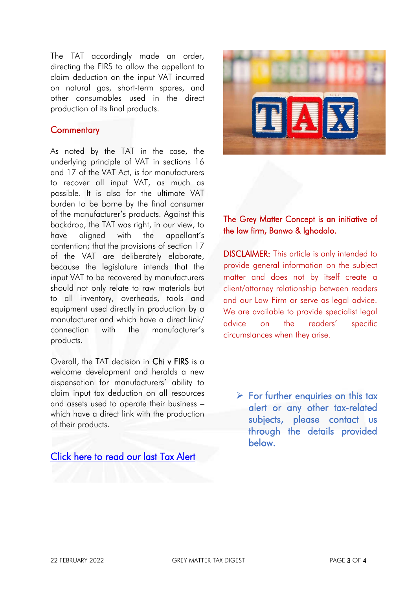The TAT accordingly made an order, directing the FIRS to allow the appellant to claim deduction on the input VAT incurred on natural gas, short-term spares, and other consumables used in the direct production of its final products.

#### **Commentary**

As noted by the TAT in the case, the underlying principle of VAT in sections 16 and 17 of the VAT Act, is for manufacturers to recover all input VAT, as much as possible. It is also for the ultimate VAT burden to be borne by the final consumer of the manufacturer's products. Against this backdrop, the TAT was right, in our view, to have aligned with the appellant's contention; that the provisions of section 17 of the VAT are deliberately elaborate, because the legislature intends that the input VAT to be recovered by manufacturers should not only relate to raw materials but to all inventory, overheads, tools and equipment used directly in production by a manufacturer and which have a direct link/ connection with the manufacturer's products.

Overall, the TAT decision in Chi v FIRS is a welcome development and heralds a new dispensation for manufacturers' ability to claim input tax deduction on all resources and assets used to operate their business – which have a direct link with the production of their products.

[Click here to read our last Tax Alert](https://www.banwo-ighodalo.com/assets/grey-matter/30c17b56a104484172f62d937cd61e76.pdf) 



## The Grey Matter Concept is an initiative of the law firm, Banwo & Ighodalo.

DISCLAIMER: This article is only intended to provide general information on the subject matter and does not by itself create a client/attorney relationship between readers and our Law Firm or serve as legal advice. We are available to provide specialist legal advice on the readers' specific circumstances when they arise.

 $\triangleright$  For further enquiries on this tax alert or any other tax-related subjects, please contact us through the details provided below.